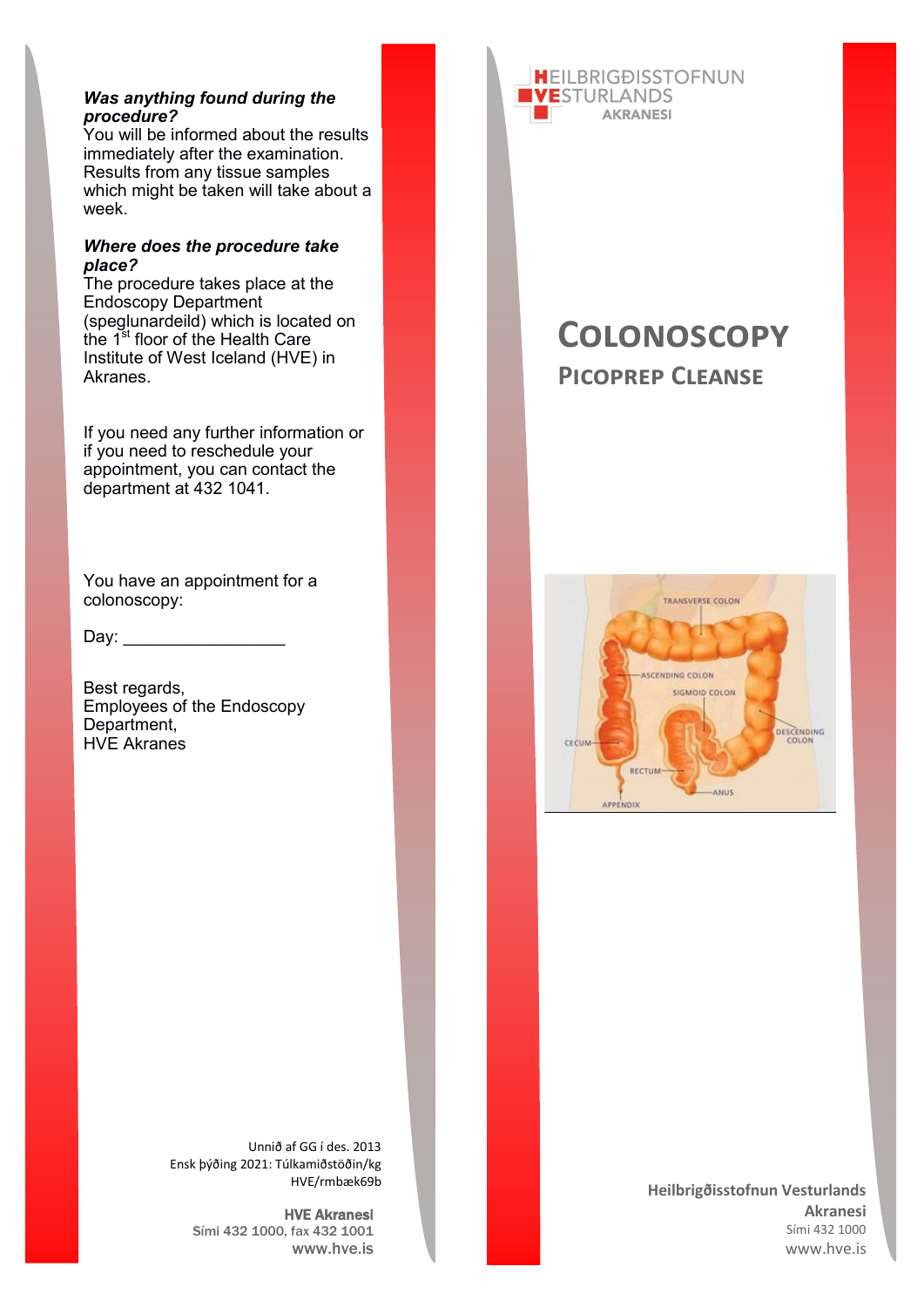# *Was anything found during the procedure?*

You will be informed about the results immediately after the examination. Results from any tissue samples which might be taken will take about a week.

# *Where does the procedure take place?*

.<br>The procedure takes place at the Endoscopy Department (speglunardeild) which is located on the 1<sup>st</sup> floor of the Health Care Institute of West Iceland (HVE) in Akranes.

If you need any further information or if you need to reschedule your appointment, you can contact the department at 432 1041.

You have an appointment for a colonoscopy:

 $Day:$ 

Best regards, Employees of the Endoscopy Department, HVE Akranes



# **Colonoscopy Picoprep Cleanse**



**Heilbrigðisstofnun Vesturlands Akranesi** Sími 432 1000 www.hve.is

Unnið af GG í des. 2013 Ensk þýðing 2021: Túlkamiðstöðin/kg HVE/rmbæk69b

> HVE Akranesi Sími 432 1000, fax 432 1001 www.hve.is